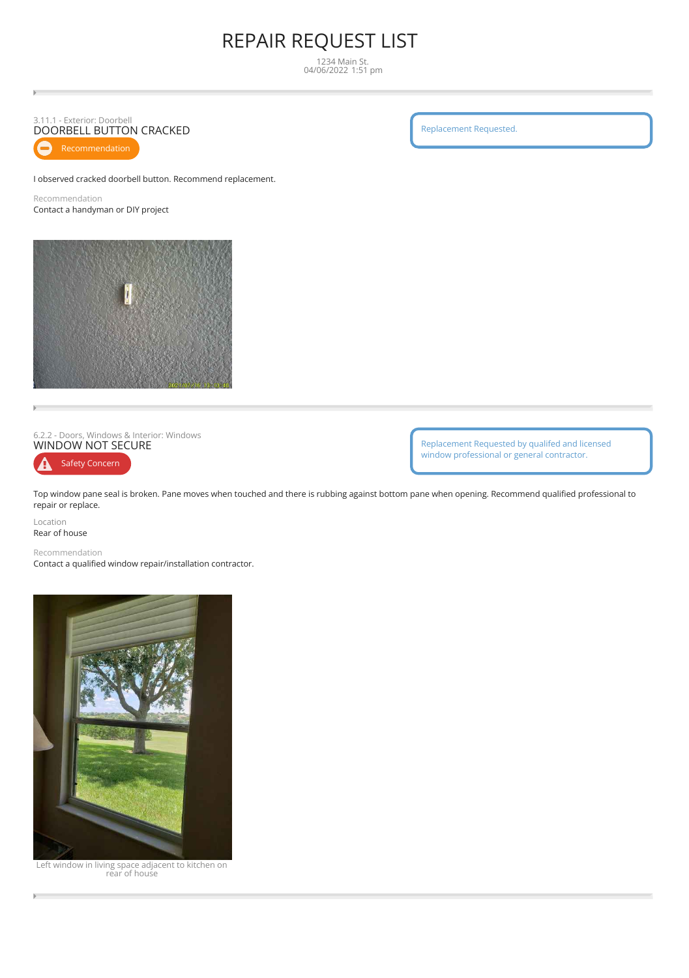# REPAIR REQUEST LIST

1234 Main St. 04/06/2022 1:51 pm

## 3.11.1 - Exterior: Doorbell DOORBELL BUTTON CRACKED

I observed cracked doorbell button. Recommend replacement.

Recommendation Contact a handyman or DIY project



6.2.2 - Doors, Windows & Interior: Windows<br>**WINDOW NOT SECURE** 

Safety Concern Ω

Replacement Requested by qualifed and licensed window professional or general contractor.

Top window pane seal is broken. Pane moves when touched and there is rubbing against bottom pane when opening. Recommend qualified professional to repair or replace.

Location Rear of house

Recommendation

Contact a qualified window repair/installation contractor.



Left window in living space adjacent to kitchen on rear of house

Replacement Requested.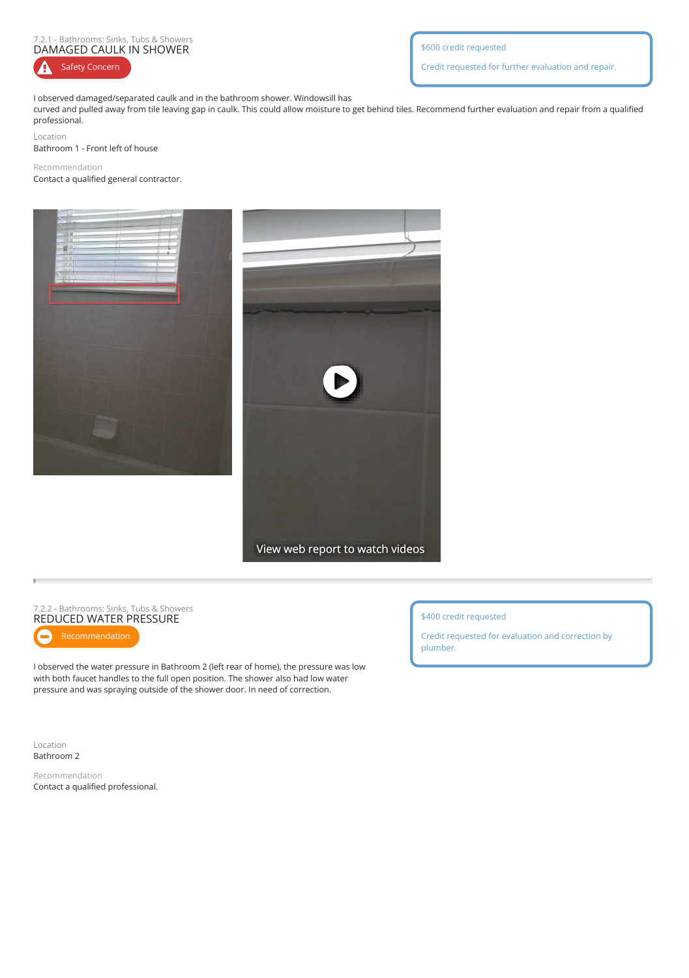#### 7.2.1 - Bathrooms: Sinks, Tubs & Showers DAMAGED CAULK IN SHOWER

A Safety Concern \$600 credit requested

Credit requested for further evaluation and repair.

I observed damaged/separated caulk and in the bathroom shower. Windowsill has

curved and pulled away from tile leaving gap in caulk. This could allow moisture to get behind tiles. Recommend further evaluation and repair from a qualified professional.

Location

Bathroom 1 - Front left of house

### Recommendation Contact a qualified general contractor.



View web report to watch videos

#### 7.2.2 - Bathrooms: Sinks, Tubs & Showers REDUCED WATER PRESSURE

I observed the water pressure in Bathroom 2 (left rear of home), the pressure was low with both faucet handles to the full open position. The shower also had low water pressure and was spraying outside of the shower door. In need of correction.

\$400 credit requested

Credit requested for evaluation and correction by plumber.

Location Bathroom 2

Recommendation Contact a qualified professional.